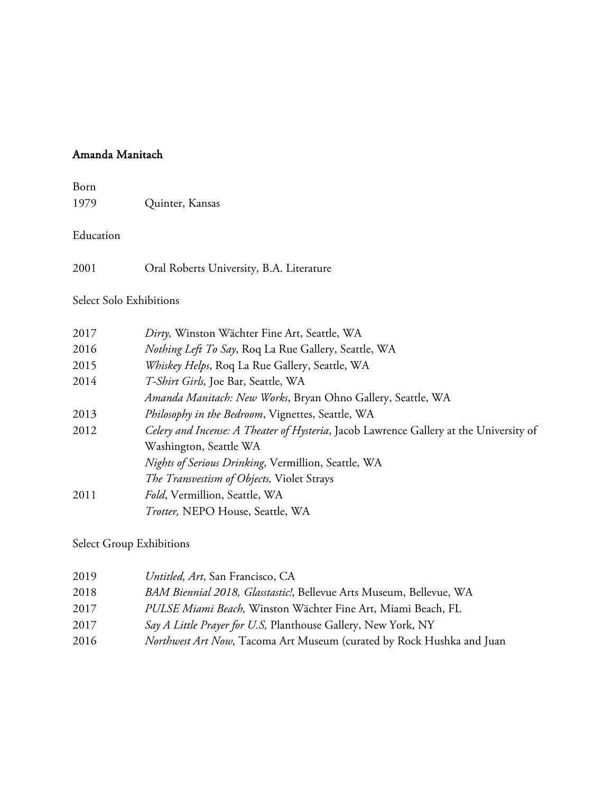## Amanda Manitach

Born 1979 Quinter, Kansas

Education

2001 Oral Roberts University, B.A. Literature

Select Solo Exhibitions

| 2017 | Dirty, Winston Wächter Fine Art, Seattle, WA                                           |
|------|----------------------------------------------------------------------------------------|
| 2016 | <i>Nothing Left To Say</i> , Roq La Rue Gallery, Seattle, WA                           |
| 2015 | Whiskey Helps, Roq La Rue Gallery, Seattle, WA                                         |
| 2014 | T-Shirt Girls, Joe Bar, Seattle, WA                                                    |
|      | <i>Amanda Manitach: New Works</i> , Bryan Ohno Gallery, Seattle, WA                    |
| 2013 | Philosophy in the Bedroom, Vignettes, Seattle, WA                                      |
| 2012 | Celery and Incense: A Theater of Hysteria, Jacob Lawrence Gallery at the University of |
|      | Washington, Seattle WA                                                                 |
|      | Nights of Serious Drinking, Vermillion, Seattle, WA                                    |
|      | The Transvestism of Objects, Violet Strays                                             |
| 2011 | Fold, Vermillion, Seattle, WA                                                          |
|      | Trotter, NEPO House, Seattle, WA                                                       |

Select Group Exhibitions

| 2019 | Untitled, Art, San Francisco, CA                                              |
|------|-------------------------------------------------------------------------------|
| 2018 | BAM Biennial 2018, Glasstastic!, Bellevue Arts Museum, Bellevue, WA           |
| 2017 | PULSE Miami Beach, Winston Wächter Fine Art, Miami Beach, FL                  |
| 2017 | Say A Little Prayer for U.S, Planthouse Gallery, New York, NY                 |
| 2016 | <i>Northwest Art Now</i> , Tacoma Art Museum (curated by Rock Hushka and Juan |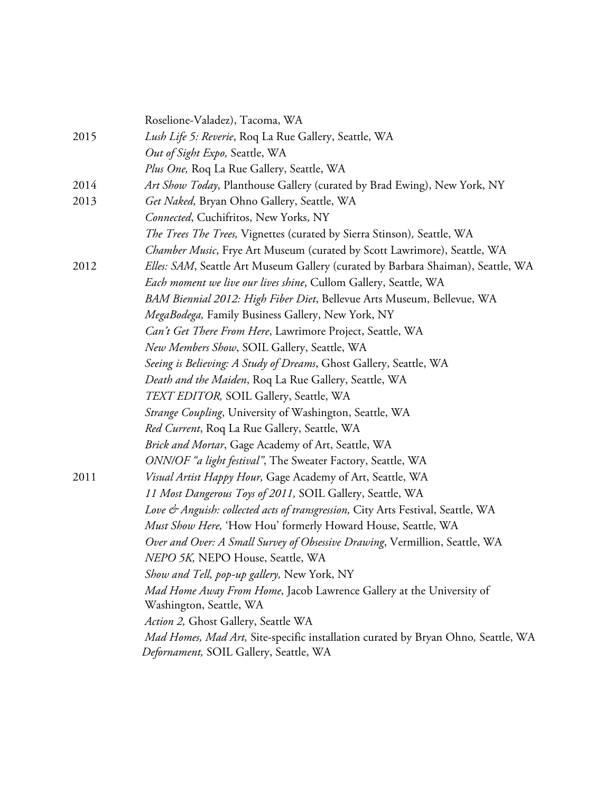|      | Roselione-Valadez), Tacoma, WA                                                                                              |
|------|-----------------------------------------------------------------------------------------------------------------------------|
| 2015 | Lush Life 5: Reverie, Roq La Rue Gallery, Seattle, WA                                                                       |
|      | Out of Sight Expo, Seattle, WA                                                                                              |
|      | Plus One, Roq La Rue Gallery, Seattle, WA                                                                                   |
| 2014 | Art Show Today, Planthouse Gallery (curated by Brad Ewing), New York, NY                                                    |
| 2013 | Get Naked, Bryan Ohno Gallery, Seattle, WA                                                                                  |
|      | Connected, Cuchifritos, New Yorks, NY                                                                                       |
|      | <i>The Trees The Trees</i> , Vignettes (curated by Sierra Stinson), Seattle, WA                                             |
|      | <i>Chamber Music</i> , Frye Art Museum (curated by Scott Lawrimore), Seattle, WA                                            |
| 2012 | Elles: SAM, Seattle Art Museum Gallery (curated by Barbara Shaiman), Seattle, WA                                            |
|      | Each moment we live our lives shine, Cullom Gallery, Seattle, WA                                                            |
|      | BAM Biennial 2012: High Fiber Diet, Bellevue Arts Museum, Bellevue, WA                                                      |
|      | MegaBodega, Family Business Gallery, New York, NY                                                                           |
|      | Can't Get There From Here, Lawrimore Project, Seattle, WA                                                                   |
|      | New Members Show, SOIL Gallery, Seattle, WA                                                                                 |
|      | Seeing is Believing: A Study of Dreams, Ghost Gallery, Seattle, WA                                                          |
|      | Death and the Maiden, Roq La Rue Gallery, Seattle, WA                                                                       |
|      | TEXT EDITOR, SOIL Gallery, Seattle, WA                                                                                      |
|      | <i>Strange Coupling</i> , University of Washington, Seattle, WA                                                             |
|      | Red Current, Roq La Rue Gallery, Seattle, WA                                                                                |
|      | Brick and Mortar, Gage Academy of Art, Seattle, WA                                                                          |
|      | ONN/OF "a light festival", The Sweater Factory, Seattle, WA                                                                 |
| 2011 | Visual Artist Happy Hour, Gage Academy of Art, Seattle, WA                                                                  |
|      | 11 Most Dangerous Toys of 2011, SOIL Gallery, Seattle, WA                                                                   |
|      | Love & Anguish: collected acts of transgression, City Arts Festival, Seattle, WA                                            |
|      | Must Show Here, 'How Hou' formerly Howard House, Seattle, WA                                                                |
|      | Over and Over: A Small Survey of Obsessive Drawing, Vermillion, Seattle, WA                                                 |
|      | NEPO 5K, NEPO House, Seattle, WA                                                                                            |
|      | Show and Tell, pop-up gallery, New York, NY                                                                                 |
|      | Mad Home Away From Home, Jacob Lawrence Gallery at the University of                                                        |
|      | Washington, Seattle, WA                                                                                                     |
|      | Action 2, Ghost Gallery, Seattle WA                                                                                         |
|      | Mad Homes, Mad Art, Site-specific installation curated by Bryan Ohno, Seattle, WA<br>Defornament, SOIL Gallery, Seattle, WA |
|      |                                                                                                                             |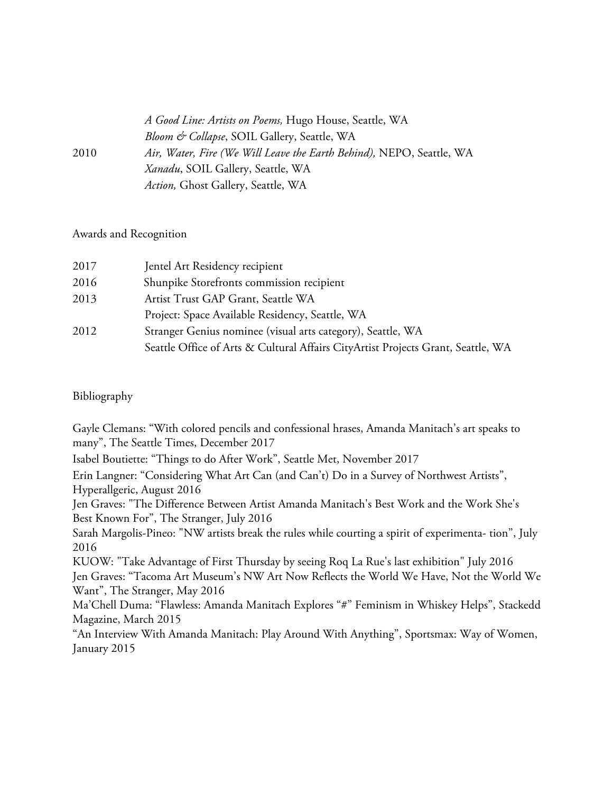|      | A Good Line: Artists on Poems, Hugo House, Seattle, WA               |
|------|----------------------------------------------------------------------|
|      | Bloom & Collapse, SOIL Gallery, Seattle, WA                          |
| 2010 | Air, Water, Fire (We Will Leave the Earth Behind), NEPO, Seattle, WA |
|      | <i>Xanadu</i> , SOIL Gallery, Seattle, WA                            |
|      | Action, Ghost Gallery, Seattle, WA                                   |

## Awards and Recognition

| 2017 | Jentel Art Residency recipient                                                   |
|------|----------------------------------------------------------------------------------|
| 2016 | Shunpike Storefronts commission recipient                                        |
| 2013 | Artist Trust GAP Grant, Seattle WA                                               |
|      | Project: Space Available Residency, Seattle, WA                                  |
| 2012 | Stranger Genius nominee (visual arts category), Seattle, WA                      |
|      | Seattle Office of Arts & Cultural Affairs CityArtist Projects Grant, Seattle, WA |

## Bibliography

Gayle Clemans: "With colored pencils and confessional hrases, Amanda Manitach's art speaks to many", The Seattle Times, December 2017

Isabel Boutiette: "Things to do After Work", Seattle Met, November 2017

Erin Langner: "Considering What Art Can (and Can't) Do in a Survey of Northwest Artists", Hyperallgeric, August 2016

Jen Graves: "The Difference Between Artist Amanda Manitach's Best Work and the Work She's Best Known For", The Stranger, July 2016

Sarah Margolis-Pineo: "NW artists break the rules while courting a spirit of experimenta- tion", July 2016

KUOW: "Take Advantage of First Thursday by seeing Roq La Rue's last exhibition" July 2016 Jen Graves: "Tacoma Art Museum's NW Art Now Reflects the World We Have, Not the World We Want", The Stranger, May 2016

Ma'Chell Duma: "Flawless: Amanda Manitach Explores "#" Feminism in Whiskey Helps", Stackedd Magazine, March 2015

"An Interview With Amanda Manitach: Play Around With Anything", Sportsmax: Way of Women, January 2015